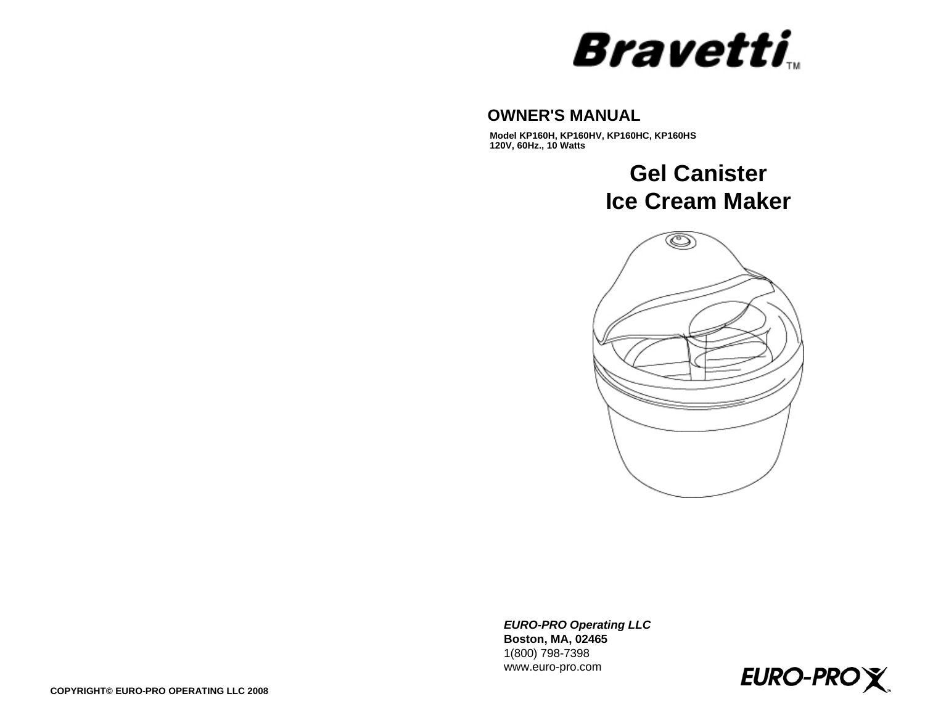# **Bravetti**

## **OWNER'S MANUAL**

**Model KP160H, KP160HV, KP160HC, KP160HS 120V, 60Hz., 10 Watts**

> **Gel CanisterIce Cream Maker**



*EURO-PRO Operating LLC* **Boston, MA, 02465** 1(800) 798-7398 www.euro-pro.com

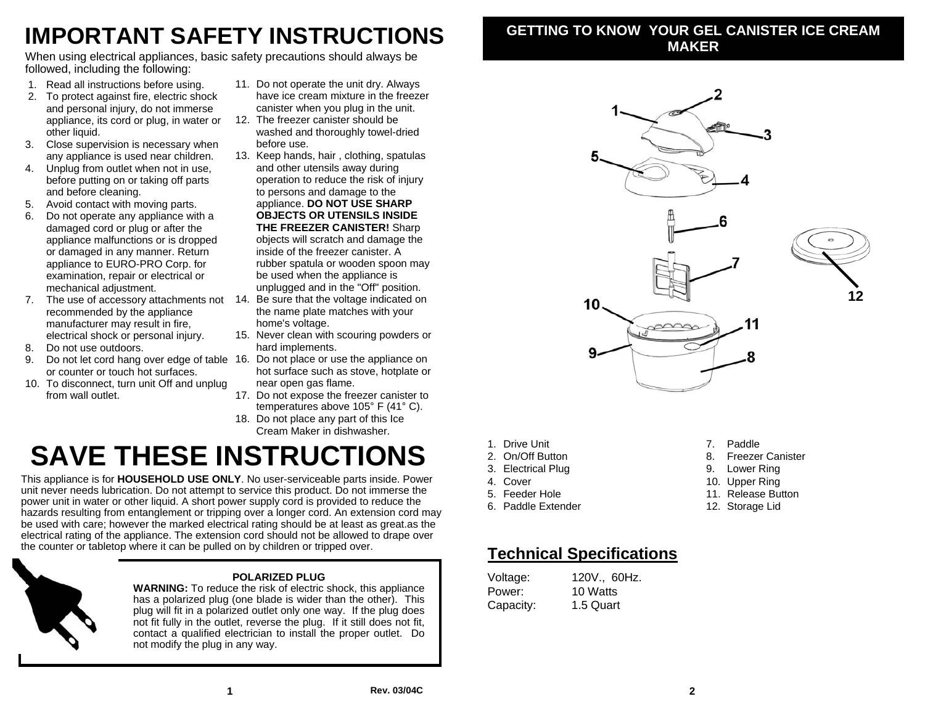## **IMPORTANT SAFETY INSTRUCTIONS**

When using electrical appliances, basic safety precautions should always be followed, including the following:

- 1. Read all instructions before using.
- 2. To protect against fire, electric shock and personal injury, do not immerse appliance, its cord or plug, in water or other liquid.
- 3. Close supervision is necessary when any appliance is used near children.
- 4. Unplug from outlet when not in use, before putting on or taking off parts and before cleaning.
- 5. Avoid contact with moving parts.
- 6. Do not operate any appliance with a damaged cord or plug or after the appliance malfunctions or is dropped or damaged in any manner. Return appliance to EURO-PRO Corp. for examination, repair or electrical or mechanical adjustment.
- 7. The use of accessory attachments not 14. Be sure that the voltage indicated on recommended by the appliance manufacturer may result in fire, electrical shock or personal injury.
- 8. Do not use outdoors.
- 9. Do not let cord hang over edge of table 16. Do not place or use the appliance on or counter or touch hot surfaces.
- 10. To disconnect, turn unit Off and unplug from wall outlet.
- 11. Do not operate the unit dry. Always have ice cream mixture in the freezer canister when you plug in the unit.
- 12. The freezer canister should be washed and thoroughly towel-dried before use.
- 13. Keep hands, hair , clothing, spatulas and other utensils away during operation to reduce the risk of injury to persons and damage to the appliance. **DO NOT USE SHARP OBJECTS OR UTENSILS INSIDE THE FREEZER CANISTER!** Sharp objects will scratch and damage the inside of the freezer canister. A rubber spatula or wooden spoon may be used when the appliance is unplugged and in the "Off" position.
- the name plate matches with your home's voltage.
- 15. Never clean with scouring powders or hard implements.
- hot surface such as stove, hotplate or near open gas flame.
- 17. Do not expose the freezer canister to temperatures above 105° F (41° C).
- 18. Do not place any part of this Ice Cream Maker in dishwasher.

## **SAVE THESE INSTRUCTIONS**

This appliance is for **HOUSEHOLD USE ONLY**. No user-serviceable parts inside. Power unit never needs lubrication. Do not attempt to service this product. Do not immerse the power unit in water or other liquid. A short power supply cord is provided to reduce the hazards resulting from entanglement or tripping over a longer cord. An extension cord may be used with care; however the marked electrical rating should be at least as great.as the electrical rating of the appliance. The extension cord should not be allowed to drape over the counter or tabletop where it can be pulled on by children or tripped over.



### **POLARIZED PLUG**

 **WARNING:** To reduce the risk of electric shock, this appliance has a polarized plug (one blade is wider than the other). This plug will fit in a polarized outlet only one way. If the plug does not fit fully in the outlet, reverse the plug. If it still does not fit, contact a qualified electrician to install the proper outlet. Do not modify the plug in any way.

## **GETTING TO KNOW YOUR GEL CANISTER ICE CREAM MAKER**



- 1. Drive Unit
- 2. On/Off Button
- 3. Electrical Plug
- 4. Cover
- 5. Feeder Hole
- 6. Paddle Extender
- 7. Paddle
- 8. Freezer Canister
- 9. Lower Ring
- 10. Upper Ring
- 11. Release Button
- 12. Storage Lid

## **Technical Specifications**

| Voltage:  | 120V., 60Hz. |
|-----------|--------------|
| Power:    | 10 Watts     |
| Capacity: | 1.5 Quart    |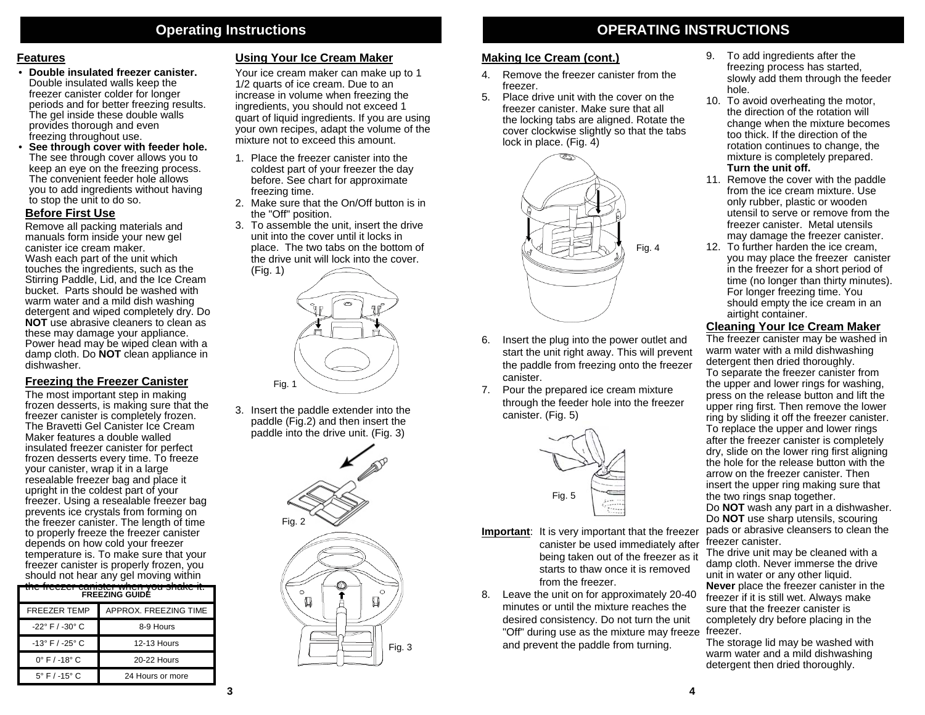## **Operating Instructions**

#### **Features**

- **Double insulated freezer canister.** Double insulated walls keep the freezer canister colder for longer periods and for better freezing results. The gel inside these double walls provides thorough and even freezing throughout use.
- • **See through cover with feeder hole.** The see through cover allows you to keep an eye on the freezing process. The convenient feeder hole allows you to add ingredients without having to stop the unit to do so.

#### **Before First Use**

Remove all packing materials and manuals form inside your new gel canister ice cream maker.

Wash each part of the unit which touches the ingredients, such as the Stirring Paddle, Lid, and the Ice Cream bucket. Parts should be washed with warm water and a mild dish washing detergent and wiped completely dry. Do **NOT** use abrasive cleaners to clean as these may damage your appliance. Power head may be wiped clean with a damp cloth. Do **NOT** clean appliance in dishwasher.

#### **Freezing the Freezer Canister**

The most important step in making frozen desserts, is making sure that the freezer canister is completely frozen. The Bravetti Gel Canister Ice Cream Maker features a double walled insulated freezer canister for perfect frozen desserts every time. To freeze your canister, wrap it in a large resealable freezer bag and place it upright in the coldest part of your freezer. Using a resealable freezer bag prevents ice crystals from forming on the freezer canister. The length of time to properly freeze the freezer canister depends on how cold your freezer temperature is. To make sure that your freezer canister is properly frozen, you should not hear any gel moving within

| <del>you onano</del><br><del>oarnotor</del><br><b>FREEZING GUIDÉ</b> |                       |  |  |
|----------------------------------------------------------------------|-----------------------|--|--|
| <b>FREEZER TEMP</b>                                                  | APPROX. FREEZING TIME |  |  |
| $-22^{\circ}$ F / $-30^{\circ}$ C                                    | 8-9 Hours             |  |  |
| $-13^{\circ}$ F / $-25^{\circ}$ C                                    | <b>12-13 Hours</b>    |  |  |
| $0^{\circ}$ F / -18 $^{\circ}$ C                                     | 20-22 Hours           |  |  |
| $5^{\circ}$ F / -15 $^{\circ}$ C                                     | 24 Hours or more      |  |  |

#### **Using Your Ice Cream Maker**

Your ice cream maker can make up to 1 1/2 quarts of ice cream. Due to an increase in volume when freezing the ingredients, you should not exceed 1 quart of liquid ingredients. If you are using your own recipes, adapt the volume of the mixture not to exceed this amount.

- 1. Place the freezer canister into the coldest part of your freezer the day before. See chart for approximate freezing time.
- 2. Make sure that the On/Off button is in the "Off" position.
- 3. To assemble the unit, insert the drive unit into the cover until it locks in place. The two tabs on the bottom of the drive unit will lock into the cover.



3. Insert the paddle extender into the paddle (Fig.2) and then insert the paddle into the drive unit. (Fig. 3)



## **OPERATING INSTRUCTIONS**

## **Making Ice Cream (cont.)**

- 4. Remove the freezer canister from the freezer.
- 5. Place drive unit with the cover on the freezer canister. Make sure that all the locking tabs are aligned. Rotate the cover clockwise slightly so that the tabs lock in place. (Fig. 4)



- 6. Insert the plug into the power outlet and start the unit right away. This will prevent the paddle from freezing onto the freezer canister.
- 7. Pour the prepared ice cream mixture through the feeder hole into the freezer canister. (Fig. 5)



- **Important**: It is very important that the freezer canister be used immediately after being taken out of the freezer as it starts to thaw once it is removed from the freezer.
- 8. Leave the unit on for approximately 20-40 minutes or until the mixture reaches the desired consistency. Do not turn the unit "Off" during use as the mixture may freeze freezer. and prevent the paddle from turning.
- 9. To add ingredients after the freezing process has started, slowly add them through the feeder hole.
- 10. To avoid overheating the motor, the direction of the rotation will change when the mixture becomes too thick. If the direction of the rotation continues to change, the mixture is completely prepared. **Turn the unit off.**
- 11. Remove the cover with the paddle from the ice cream mixture. Use only rubber, plastic or wooden utensil to serve or remove from the freezer canister. Metal utensils may damage the freezer canister.
- 12. To further harden the ice cream, you may place the freezer canister in the freezer for a short period of time (no longer than thirty minutes). For longer freezing time. You should empty the ice cream in an airtight container.

#### **Cleaning Your Ice Cream Maker**

The freezer canister may be washed in warm water with a mild dishwashing detergent then dried thoroughly. To separate the freezer canister from the upper and lower rings for washing, press on the release button and lift the upper ring first. Then remove the lower ring by sliding it off the freezer canister. To replace the upper and lower rings after the freezer canister is completely dry, slide on the lower ring first aligning the hole for the release button with the arrow on the freezer canister. Then insert the upper ring making sure that the two rings snap together.

Do **NOT** wash any part in a dishwasher. Do **NOT** use sharp utensils, scouring pads or abrasive cleansers to clean the freezer canister.

The drive unit may be cleaned with a damp cloth. Never immerse the drive unit in water or any other liquid. **Never** place the freezer canister in the freezer if it is still wet. Always make sure that the freezer canister is completely dry before placing in the

The storage lid may be washed with warm water and a mild dishwashing detergent then dried thoroughly.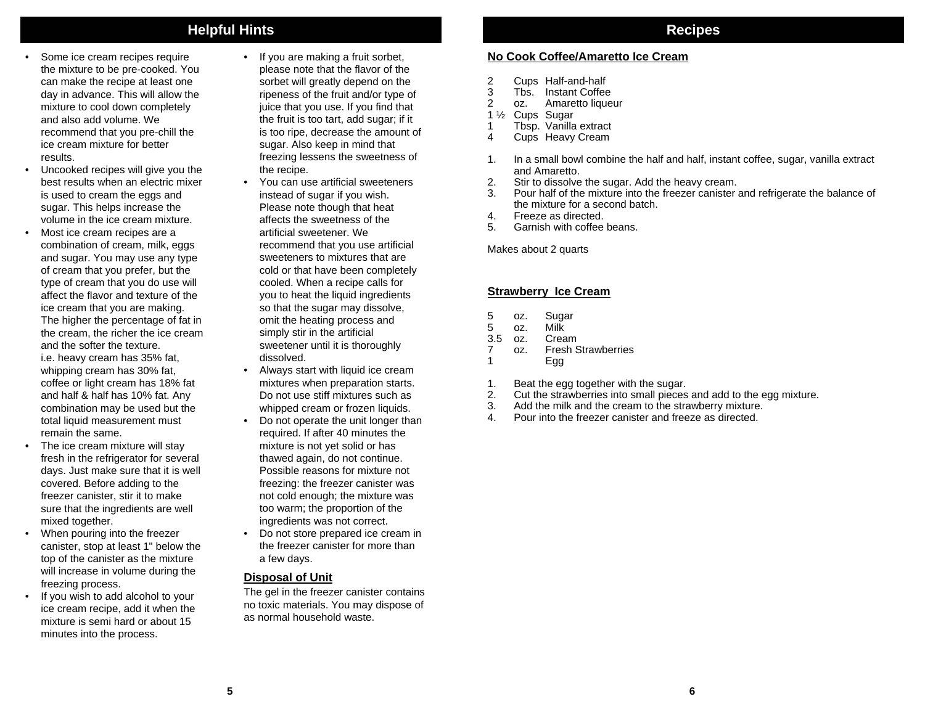## **Helpful Hints**

- Some ice cream recipes require the mixture to be pre-cooked. You can make the recipe at least one day in advance. This will allow the mixture to cool down completely and also add volume. We recommend that you pre-chill the ice cream mixture for better results.
- Uncooked recipes will give you the best results when an electric mixer is used to cream the eggs and sugar. This helps increase the volume in the ice cream mixture.
- Most ice cream recipes are a combination of cream, milk, eggs and sugar. You may use any type of cream that you prefer, but the type of cream that you do use will affect the flavor and texture of the ice cream that you are making. The higher the percentage of fat in the cream, the richer the ice cream and the softer the texture.i.e. heavy cream has 35% fat, whipping cream has 30% fat, coffee or light cream has 18% fat and half & half has 10% fat. Any combination may be used but the total liquid measurement must remain the same.
- The ice cream mixture will stay fresh in the refrigerator for several days. Just make sure that it is well covered. Before adding to the freezer canister, stir it to make sure that the ingredients are well mixed together.
- When pouring into the freezer canister, stop at least 1" below the top of the canister as the mixture will increase in volume during the freezing process.
- If you wish to add alcohol to your ice cream recipe, add it when the mixture is semi hard or about 15 minutes into the process.
- If you are making a fruit sorbet, please note that the flavor of the sorbet will greatly depend on the ripeness of the fruit and/or type of juice that you use. If you find that the fruit is too tart, add sugar; if it is too ripe, decrease the amount of sugar. Also keep in mind that freezing lessens the sweetness of the recipe.
- You can use artificial sweeteners instead of sugar if you wish. Please note though that heat affects the sweetness of the artificial sweetener. We recommend that you use artificial sweeteners to mixtures that are cold or that have been completely cooled. When a recipe calls for you to heat the liquid ingredients so that the sugar may dissolve, omit the heating process and simply stir in the artificial sweetener until it is thoroughly dissolved.
- Always start with liquid ice cream mixtures when preparation starts. Do not use stiff mixtures such as whipped cream or frozen liquids.
- Do not operate the unit longer than required. If after 40 minutes the mixture is not yet solid or has thawed again, do not continue. Possible reasons for mixture not freezing: the freezer canister was not cold enough; the mixture was too warm; the proportion of the ingredients was not correct.
- Do not store prepared ice cream in the freezer canister for more than a few days.

### **Disposal of Unit**

The gel in the freezer canister contains no toxic materials. You may dispose of as normal household waste.

### **No Cook Coffee/Amaretto Ice Cream**

- 2 Cups Half-and-half<br>3 Tbs. Instant Coffee
- Tbs. Instant Coffee
- 2 oz. Amaretto liqueur
- 1 ½ Cups Sugar
- 1 Tbsp. Vanilla extract<br>4 Cups Heavy Cream
- Cups Heavy Cream
- 1. In a small bowl combine the half and half, instant coffee, sugar, vanilla extract and Amaretto.
- 2. Stir to dissolve the sugar. Add the heavy cream.
- 3. Pour half of the mixture into the freezer canister and refrigerate the balance of the mixture for a second batch.
- 4. Freeze as directed.
- 5. Garnish with coffee beans.

Makes about 2 quarts

#### **Strawberry Ice Cream**

- 5 oz. Sugar<br>5 oz. Milk
- oz. Milk
- 3.5 oz. Cream
- 7 oz. Fresh Strawberries
- 1 Egg
- 1. Beat the egg together with the sugar.<br>2. Cut the strawberries into small pieces
- Cut the strawberries into small pieces and add to the egg mixture.
- 3. Add the milk and the cream to the strawberry mixture.
- 4. Pour into the freezer canister and freeze as directed.